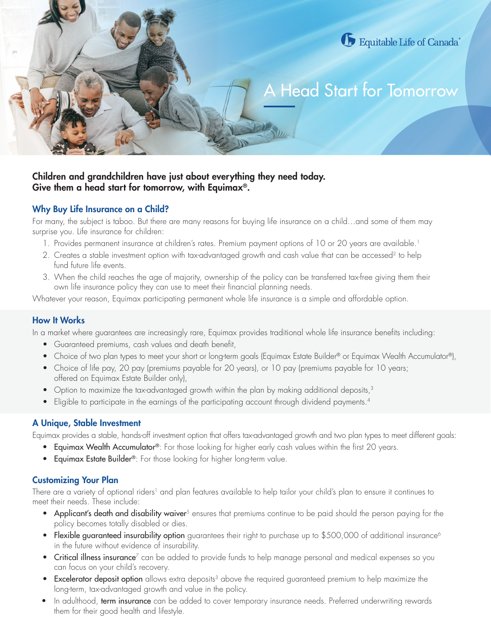# A Head Start for Tomorrow

Equitable Life of Canada®

#### Children and grandchildren have just about everything they need today. Give them a head start for tomorrow, with Equimax®.

#### Why Buy Life Insurance on a Child?

For many, the subject is taboo. But there are many reasons for buying life insurance on a child…and some of them may surprise you. Life insurance for children:

- 1. Provides permanent insurance at children's rates. Premium payment options of 10 or 20 years are available.<sup>1</sup>
- 2. Creates a stable investment option with tax-advantaged growth and cash value that can be accessed<sup>2</sup> to help fund future life events.
- 3. When the child reaches the age of majority, ownership of the policy can be transferred tax-free giving them their own life insurance policy they can use to meet their financial planning needs.

Whatever your reason, Equimax participating permanent whole life insurance is a simple and affordable option.

#### How It Works

In a market where guarantees are increasingly rare, Equimax provides traditional whole life insurance benefits including:

- Guaranteed premiums, cash values and death benefit,
- Choice of two plan types to meet your short or long-term goals (Equimax Estate Builder® or Equimax Wealth Accumulator®),
- Choice of life pay, 20 pay (premiums payable for 20 years), or 10 pay (premiums payable for 10 years; offered on Equimax Estate Builder only),
- Option to maximize the tax-advantaged growth within the plan by making additional deposits,<sup>3</sup>
- Eligible to participate in the earnings of the participating account through dividend payments.<sup>4</sup>

#### A Unique, Stable Investment

Equimax provides a stable, hands-off investment option that offers tax-advantaged growth and two plan types to meet different goals:

- Equimax Wealth Accumulator®: For those looking for higher early cash values within the first 20 years.
- Equimax Estate Builder<sup>®</sup>: For those looking for higher long-term value.

#### Customizing Your Plan

There are a variety of optional riders<sup>1</sup> and plan features available to help tailor your child's plan to ensure it continues to meet their needs. These include:

- Applicant's death and disability waiver<sup>5</sup> ensures that premiums continue to be paid should the person paying for the policy becomes totally disabled or dies.
- Flexible guaranteed insurability option guarantees their right to purchase up to \$500,000 of additional insurance<sup>6</sup> in the future without evidence of insurability.
- Critical illness insurance<sup>7</sup> can be added to provide funds to help manage personal and medical expenses so you can focus on your child's recovery.
- Excelerator deposit option allows extra deposits<sup>3</sup> above the required quaranteed premium to help maximize the long-term, tax-advantaged growth and value in the policy.
- In adulthood, term insurance can be added to cover temporary insurance needs. Preferred underwriting rewards them for their good health and lifestyle.